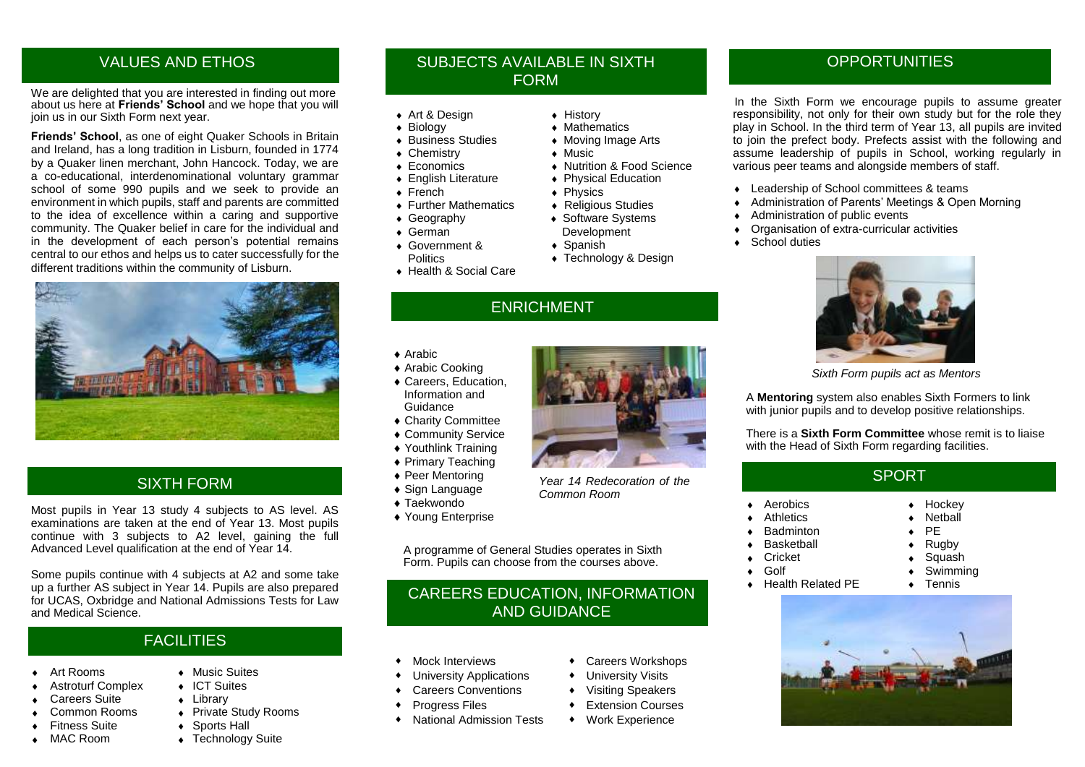#### VALUES AND ETHOS

We are delighted that you are interested in finding out more about us here at **Friends' School** and we hope that you will join us in our Sixth Form next year.

**Friends' School**, as one of eight Quaker Schools in Britain and Ireland, has a long tradition in Lisburn, founded in 1774 by a Quaker linen merchant, John Hancock. Today, we are a co-educational, interdenominational voluntary grammar school of some 990 pupils and we seek to provide an environment in which pupils, staff and parents are committed to the idea of excellence within a caring and supportive community. The Quaker belief in care for the individual and in the development of each person's potential remains central to our ethos and helps us to cater successfully for the different traditions within the community of Lisburn.



#### SIXTH FORM

Most pupils in Year 13 study 4 subjects to AS level. AS examinations are taken at the end of Year 13. Most pupils continue with 3 subjects to A2 level, gaining the full Advanced Level qualification at the end of Year 14.

Some pupils continue with 4 subjects at A2 and some take up a further AS subject in Year 14. Pupils are also prepared for UCAS, Oxbridge and National Admissions Tests for Law and Medical Science.

### **FACILITIES**

Art Rooms **Art Rooms** And Allen And Music Suites

i<br>I

- Astroturf Complex ICT Suites
- Careers Suite **+ Library**
- Common Rooms → Private Study Rooms
- Fitness Suite **Capacity** Sports Hall
- MAC Room Technology Suite

#### SUBJECTS AVAILABLE IN SIXTH FORM

- ◆ Art & Design ◆ History
- 
- 
- $\overline{\bullet}$  Chemistry<br>  $\overline{\bullet}$  Economics
- 
- <p>▶ English Literature</p>\n<p>▶ Physical Education</p>\n<p>▶ French</p>\n<p>▶ Physics</p>
- 
- $\overline{\bullet}$  Further Mathematics<br>  $\overline{\bullet}$  Geography
	-
- 
- Government & **Politics**
- ◆ Health & Social Care
	- ENRICHMENT
- ◆ Arabic
- ◆ Arabic Cooking
- Information and Guidance
- 
- ◆ Community Service
- Youthlink Training
- ◆ Primary Teaching
- ◆ Peer Mentoring
- ◆ Sign Language
- ◆ Taekwondo
- 

 A programme of General Studies operates in Sixth Form. Pupils can choose from the courses above.

#### CAREERS EDUCATION, INFORMATION AND GUIDANCE

- 
- University Applications **+** University Visits
- Careers Conventions **Careers** Conventions **Careers**
- Progress Files **Courses Courses**
- ◆ National Admission Tests → Work Experience
- 
- + Biology <br>+ Business Studies + Moving Image
	- $\bullet$  Moving Image Arts<br>  $\bullet$  Music
	-
- <p>▶ Economics</p>\n<p>▶ Nuttribution &amp; Food Science</p>\n<p>▶ Enalish Literature</p>\n<p>▶ Physical Education</p>
	-
	- ◆ Physics<br>◆ Religious Studies
	-
- $\bullet$  Software Systems German Development
	- ◆ Spanish
	- ◆ Technology & Design
	-

- 
- ▲ Careers, Education
- Charity Committee
- 
- 
- 
- 
- 
- 
- ◆ Young Enterprise

- Mock Interviews Careers Workshops
- 
- 
- 
- 

**OPPORTUNITIES** 

 In the Sixth Form we encourage pupils to assume greater responsibility, not only for their own study but for the role they play in School. In the third term of Year 13, all pupils are invited to join the prefect body. Prefects assist with the following and assume leadership of pupils in School, working regularly in various peer teams and alongside members of staff.

- Leadership of School committees & teams
- Administration of Parents' Meetings & Open Morning
- Administration of public events
- Organisation of extra-curricular activities
- School duties



*Sixth Form pupils act as Mentors*

A **Mentoring** system also enables Sixth Formers to link with junior pupils and to develop positive relationships.

There is a **Sixth Form Committee** whose remit is to liaise with the Head of Sixth Form regarding facilities.

#### SPORT

 $\begin{array}{cc} \leftarrow & \text{Netball} \\ \leftarrow & \text{PE} \end{array}$ 

- Aerobics → Hockey → Hockey<br>Athletics → Nethall
- 
- Badminton **+**
- Basketball **ACC** Rugby
- Cricket Squash
- 
- Golf Swimming<br>
Health Related PE Tennis Health Related PE





*Year 14 Redecoration of the* 

*Common Room*